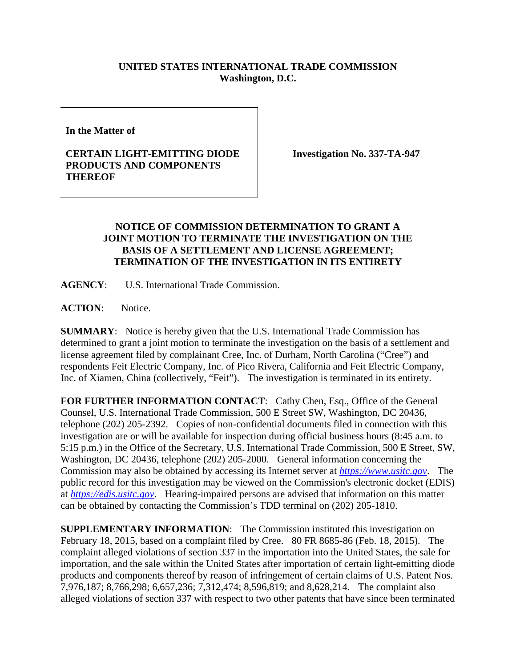## **UNITED STATES INTERNATIONAL TRADE COMMISSION Washington, D.C.**

**In the Matter of** 

## **CERTAIN LIGHT-EMITTING DIODE PRODUCTS AND COMPONENTS THEREOF**

**Investigation No. 337-TA-947** 

## **NOTICE OF COMMISSION DETERMINATION TO GRANT A JOINT MOTION TO TERMINATE THE INVESTIGATION ON THE BASIS OF A SETTLEMENT AND LICENSE AGREEMENT; TERMINATION OF THE INVESTIGATION IN ITS ENTIRETY**

**AGENCY**: U.S. International Trade Commission.

ACTION: Notice.

**SUMMARY**: Notice is hereby given that the U.S. International Trade Commission has determined to grant a joint motion to terminate the investigation on the basis of a settlement and license agreement filed by complainant Cree, Inc. of Durham, North Carolina ("Cree") and respondents Feit Electric Company, Inc. of Pico Rivera, California and Feit Electric Company, Inc. of Xiamen, China (collectively, "Feit"). The investigation is terminated in its entirety.

FOR FURTHER INFORMATION CONTACT: Cathy Chen, Esq., Office of the General Counsel, U.S. International Trade Commission, 500 E Street SW, Washington, DC 20436, telephone (202) 205-2392. Copies of non-confidential documents filed in connection with this investigation are or will be available for inspection during official business hours (8:45 a.m. to 5:15 p.m.) in the Office of the Secretary, U.S. International Trade Commission, 500 E Street, SW, Washington, DC 20436, telephone (202) 205-2000. General information concerning the Commission may also be obtained by accessing its Internet server at *https://www.usitc.gov*. The public record for this investigation may be viewed on the Commission's electronic docket (EDIS) at *https://edis.usitc.gov*. Hearing-impaired persons are advised that information on this matter can be obtained by contacting the Commission's TDD terminal on (202) 205-1810.

**SUPPLEMENTARY INFORMATION**: The Commission instituted this investigation on February 18, 2015, based on a complaint filed by Cree. 80 FR 8685-86 (Feb. 18, 2015). The complaint alleged violations of section 337 in the importation into the United States, the sale for importation, and the sale within the United States after importation of certain light-emitting diode products and components thereof by reason of infringement of certain claims of U.S. Patent Nos. 7,976,187; 8,766,298; 6,657,236; 7,312,474; 8,596,819; and 8,628,214. The complaint also alleged violations of section 337 with respect to two other patents that have since been terminated